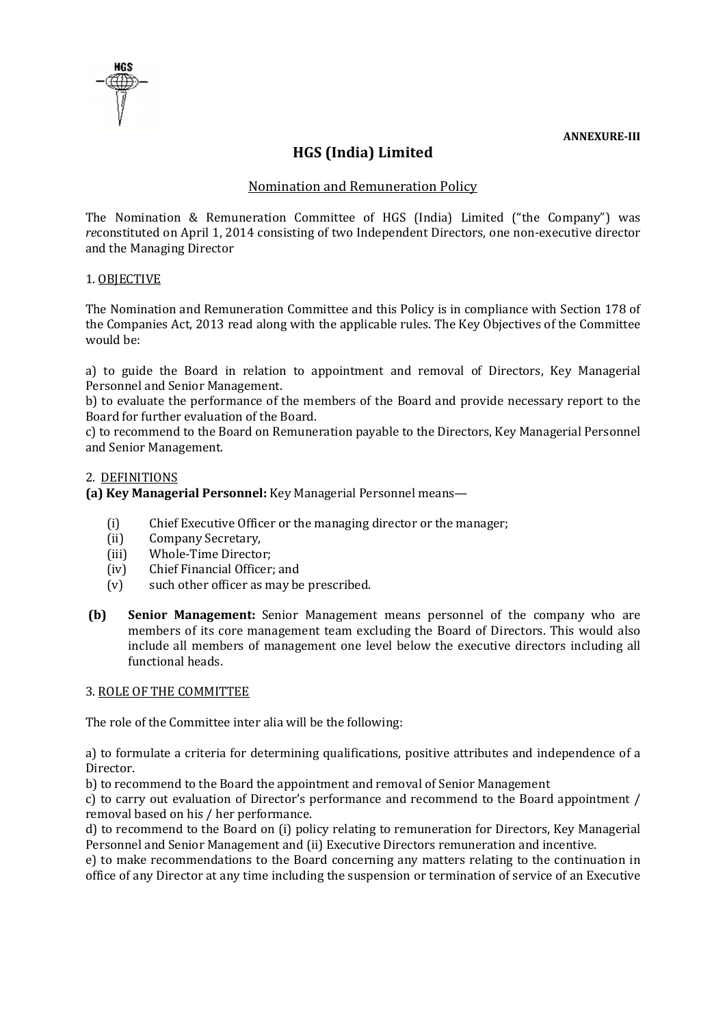

# **HGS (India) Limited**

# Nomination and Remuneration Policy

The Nomination & Remuneration Committee of HGS (India) Limited ("the Company") was *re*constituted on April 1, 2014 consisting of two Independent Directors, one non-executive director and the Managing Director

## 1. OBJECTIVE

The Nomination and Remuneration Committee and this Policy is in compliance with Section 178 of the Companies Act, 2013 read along with the applicable rules. The Key Objectives of the Committee would be:

a) to guide the Board in relation to appointment and removal of Directors, Key Managerial Personnel and Senior Management.

b) to evaluate the performance of the members of the Board and provide necessary report to the Board for further evaluation of the Board.

c) to recommend to the Board on Remuneration payable to the Directors, Key Managerial Personnel and Senior Management.

#### 2. DEFINITIONS

**(a) Key Managerial Personnel:** Key Managerial Personnel means—

- (i) Chief Executive Officer or the managing director or the manager;
- (ii) Company Secretary,
- (iii) Whole-Time Director;
- (iv) Chief Financial Officer; and
- (v) such other officer as may be prescribed.
- **(b) Senior Management:** Senior Management means personnel of the company who are members of its core management team excluding the Board of Directors. This would also include all members of management one level below the executive directors including all functional heads.

#### 3. ROLE OF THE COMMITTEE

The role of the Committee inter alia will be the following:

a) to formulate a criteria for determining qualifications, positive attributes and independence of a Director.

b) to recommend to the Board the appointment and removal of Senior Management

c) to carry out evaluation of Director's performance and recommend to the Board appointment / removal based on his / her performance.

d) to recommend to the Board on (i) policy relating to remuneration for Directors, Key Managerial Personnel and Senior Management and (ii) Executive Directors remuneration and incentive.

e) to make recommendations to the Board concerning any matters relating to the continuation in office of any Director at any time including the suspension or termination of service of an Executive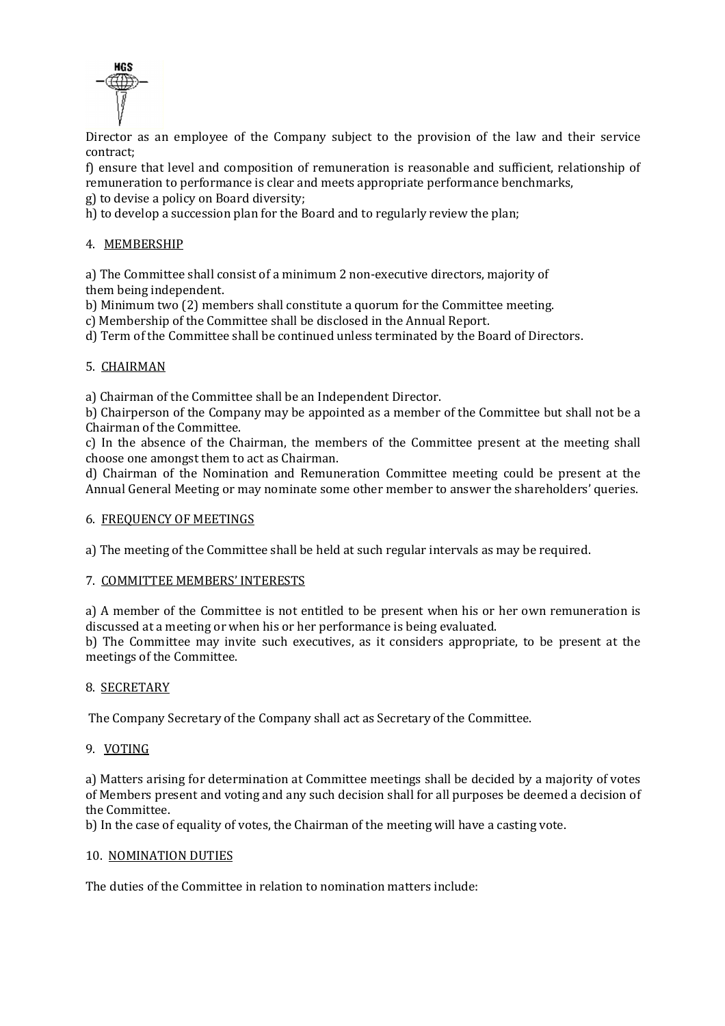

Director as an employee of the Company subject to the provision of the law and their service contract;

f) ensure that level and composition of remuneration is reasonable and sufficient, relationship of remuneration to performance is clear and meets appropriate performance benchmarks,

g) to devise a policy on Board diversity;

h) to develop a succession plan for the Board and to regularly review the plan;

# 4. MEMBERSHIP

a) The Committee shall consist of a minimum 2 non-executive directors, majority of them being independent.

b) Minimum two (2) members shall constitute a quorum for the Committee meeting.

c) Membership of the Committee shall be disclosed in the Annual Report.

d) Term of the Committee shall be continued unless terminated by the Board of Directors.

## 5. CHAIRMAN

a) Chairman of the Committee shall be an Independent Director.

b) Chairperson of the Company may be appointed as a member of the Committee but shall not be a Chairman of the Committee.

c) In the absence of the Chairman, the members of the Committee present at the meeting shall choose one amongst them to act as Chairman.

d) Chairman of the Nomination and Remuneration Committee meeting could be present at the Annual General Meeting or may nominate some other member to answer the shareholders' queries.

#### 6. FREQUENCY OF MEETINGS

a) The meeting of the Committee shall be held at such regular intervals as may be required.

#### 7. COMMITTEE MEMBERS' INTERESTS

a) A member of the Committee is not entitled to be present when his or her own remuneration is discussed at a meeting or when his or her performance is being evaluated.

b) The Committee may invite such executives, as it considers appropriate, to be present at the meetings of the Committee.

#### 8. SECRETARY

The Company Secretary of the Company shall act as Secretary of the Committee.

#### 9. VOTING

a) Matters arising for determination at Committee meetings shall be decided by a majority of votes of Members present and voting and any such decision shall for all purposes be deemed a decision of the Committee.

b) In the case of equality of votes, the Chairman of the meeting will have a casting vote.

#### 10. NOMINATION DUTIES

The duties of the Committee in relation to nomination matters include: